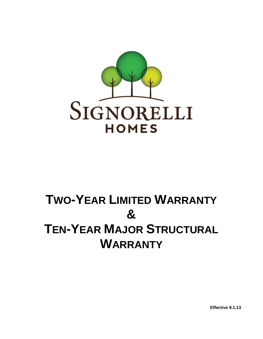

# **TWO-YEAR LIMITED WARRANTY & TEN-YEAR MAJOR STRUCTURAL WARRANTY**

**Effective 8.1.13**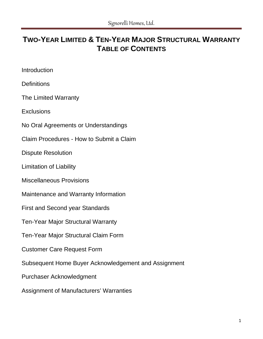# **TWO-YEAR LIMITED & TEN-YEAR MAJOR STRUCTURAL WARRANTY TABLE OF CONTENTS**

Introduction

**Definitions** 

The Limited Warranty

**Exclusions** 

No Oral Agreements or Understandings

Claim Procedures - How to Submit a Claim

Dispute Resolution

Limitation of Liability

Miscellaneous Provisions

Maintenance and Warranty Information

First and Second year Standards

Ten-Year Major Structural Warranty

Ten-Year Major Structural Claim Form

Customer Care Request Form

Subsequent Home Buyer Acknowledgement and Assignment

Purchaser Acknowledgment

Assignment of Manufacturers' Warranties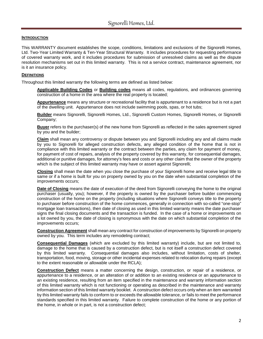# **INTRODUCTION**

This WARRANTY document establishes the scope, conditions, limitations and exclusions of the Signorelli Homes, Ltd. Two-Year Limited Warranty & Ten-Year Structural Warranty. It includes procedures for requesting performance of covered warranty work, and it includes procedures for submission of unresolved claims as well as the dispute resolution mechanisms set out in this limited warranty. This is not a service contract, maintenance agreement, nor is it an insurance policy.

#### **DEFINITIONS**

Throughout this limited warranty the following terms are defined as listed below:

**Applicable Building Codes** or **Building codes** means all codes, regulations, and ordinances governing construction of a home in the area where the real property is located;

**Appurtenance** means any structure or recreational facility that is appurtenant to a residence but is not a part of the dwelling unit. Appurtenance does not include swimming pools, spas, or hot tubs;

**Builder** means Signorelli, Signorelli Homes, Ltd., Signorelli Custom Homes, Signorelli Homes, or Signorelli Company;

**Buyer** refers to the purchaser(s) of the new home from Signorelli as reflected in the sales agreement signed by you and the builder;

**Claim** shall mean any controversy or dispute between you and Signorelli including any and all claims made by you to Signorelli for alleged construction defects, any alleged condition of the home that is not in compliance with this limited warranty or the contract between the parties, any claim for payment of money, for payment of cost of repairs, analysis of the property covered by this warranty, for consequential damages, additional or punitive damages, for attorney's fees and costs or any other claim that the owner of the property which is the subject of this limited warranty may have or assert against Signorelli;

**Closing** shall mean the date when you close the purchase of your Signorelli home and receive legal title to same or if a home is built for you on property owned by you on the date when substantial completion of the improvements occurs;

**Date of Closing** means the date of execution of the deed from Signorelli conveying the home to the original purchaser (usually, you); however, if the property is owned by the purchaser before builder commencing construction of the home on the property (including situations where Signorelli conveys title to the property to purchaser before construction of the home commences, generally in connection with so-called "one-stop" mortgage loan transactions), then date of closing as used in this limited warranty means the date purchaser signs the final closing documents and the transaction is funded. In the case of a home or improvements on a lot owned by you, the date of closing is synonymous with the date on which substantial completion of the improvements occurs;

**Construction Agreement** shall mean any contract for construction of improvements by Signorelli on property owned by you. This term includes any remodeling contract;

**Consequential Damages** (which are excluded by this limited warranty) include, but are not limited to, damage to the home that is caused by a construction defect, but is not itself a construction defect covered by this limited warranty. Consequential damages also includes, without limitation, costs of shelter, transportation, food, moving, storage or other incidental expenses related to relocation during repairs (except to the extent reasonable or allowable under the RCLA);

**Construction Defect** means a matter concerning the design, construction, or repair of a residence, or appurtenance to a residence, or an alteration of or addition to an existing residence or an appurtenance to an existing residence, resulting from an item specified in the maintenance and warranty information section of this limited warranty which is not functioning or operating as described in the maintenance and warranty information section of this limited warranty booklet. A construction defect occurs only when an item warranted by this limited warranty fails to conform to or exceeds the allowable tolerance, or fails to meet the performance standards specified in this limited warranty. Failure to complete construction of the home or any portion of the home, in whole or in part, is not a construction defect;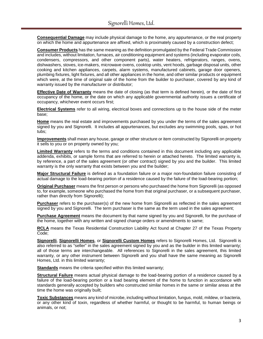**Consequential Damage** may include physical damage to the home, any appurtenance, or the real property on which the home and appurtenance are affixed, which is proximately caused by a construction defect;

**Consumer Products** has the same meaning as the definition promulgated by the Federal Trade Commission and includes, without limitation, furnaces, air conditioning equipment and systems (including evaporator coils, condensers, compressors, and other component parts), water heaters, refrigerators, ranges, ovens, dishwashers, stoves, ice-makers, microwave ovens, cooktop units, vent hoods, garbage disposal units, other cooking and kitchen appliances, carpets, alarm systems, manufactured cabinets, garage door openers, plumbing fixtures, light fixtures, and all other appliances in the home, and other similar products or equipment which were, at the time of original sale of the home from the builder to purchaser, covered by any kind of warranty issued by the manufacturer or distributor;

**Effective Date of Warranty** means the date of closing (as that term is defined herein), or the date of first occupancy of the home, or the date on which any applicable governmental authority issues a certificate of occupancy, whichever event occurs first;

**Electrical Systems** refer to all wiring, electrical boxes and connections up to the house side of the meter base;

**Home** means the real estate and improvements purchased by you under the terms of the sales agreement signed by you and Signorelli. It includes all appurtenances, but excludes any swimming pools, spas, or hot tubs;

**Improvements** shall mean any house, garage or other structure or item constructed by Signorelli on property it sells to you or on property owned by you;

**Limited Warranty** refers to the terms and conditions contained in this document including any applicable addenda, exhibits, or sample forms that are referred to herein or attached hereto. The limited warranty is, by reference, a part of the sales agreement (or other contract) signed by you and the builder. This limited warranty is the only warranty that exists between you and the builder;

**Major Structural Failure** is defined as a foundation failure or a major non-foundation failure consisting of actual damage to the load-bearing portion of a residence caused by the failure of the load-bearing portion;

**Original Purchaser** means the first person or persons who purchased the home from Signorelli (as opposed to, for example, someone who purchased the home from that original purchaser, or a subsequent purchaser, rather than directly from Signorelli);

**Purchaser** refers to the purchaser(s) of the new home from Signorelli as reflected in the sales agreement signed by you and Signorelli. The term purchaser is the same as the term used in the sales agreement;

**Purchase Agreement** means the document by that name signed by you and Signorelli, for the purchase of the home, together with any written and signed change orders or amendments to same;

**RCLA** means the Texas Residential Construction Liability Act found at Chapter 27 of the Texas Property Code;

**Signorelli**, **Signorelli Homes**, or **Signorelli Custom Homes** refers to Signorelli Homes, Ltd. Signorelli is also referred to as "seller" in the sales agreement signed by you and as the builder in this limited warranty; all of those terms are interchangeable. All references to Signorelli in the sales agreement, this limited warranty, or any other instrument between Signorelli and you shall have the same meaning as Signorelli Homes, Ltd. in this limited warranty;

**Standards** means the criteria specified within this limited warranty;

**Structural Failure** means actual physical damage to the load-bearing portion of a residence caused by a failure of the load-bearing portion or a load bearing element of the home to function in accordance with standards generally accepted by builders who constructed similar homes in the same or similar areas at the time the home was originally built;

**Toxic Substances** means any kind of microbe, including without limitation, fungus, mold, mildew, or bacteria, or any other kind of toxin, regardless of whether harmful, or thought to be harmful, to human beings or animals, or not;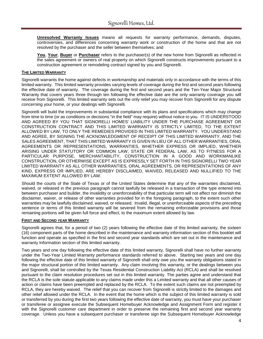**Unresolved Warranty Issues** means all requests for warranty performance, demands, disputes, controversies, and differences concerning warranty work or construction of the home and that are not resolved by the purchaser and the seller between themselves; and

**You**, **Your**, **Buyer** or **Purchaser** refers to the purchaser(s) of the new home from Signorelli as reflected in the sales agreement or owners of real property on which Signorelli constructs improvements pursuant to a construction agreement or remodeling contract signed by you and Signorelli.

# **THE LIMITED WARRANTY**

Signorelli warrants the home against defects in workmanship and materials only in accordance with the terms of this limited warranty. This limited warranty provides varying levels of coverage during the first and second years following the effective date of warranty. The coverage during the first and second years and the Ten-Year Major Structural Warranty that covers years three through ten following the effective date are the only warranty coverage you will receive from Signorelli. This limited warranty sets out the only relief you may recover from Signorelli for any dispute concerning your home, or your dealings with Signorelli.

Signorelli will build the improvements in substantial compliance with its plans and specifications which may change from time to time (or as conditions or decisions "in the field" may require) without notice to you. IT IS UNDERSTOOD AND AGREED BY YOU THAT SIGNORELLI HOMES' LIABILITY UNDER THE PURCHASE AGREEMENT OR CONSTRUCTION CONTRACT AND THIS LIMITED WARRANTY IS STRICTLY LIMITED, TO THE EXTENT ALLOWED BY LAW, TO ONLY THE REMEDIES PROVIDED IN THIS LIMITED WARRANTY. YOU UNDERSTAND AND AGREE, BY SIGNING THE ACKNOWLEDGMENT OF RECEIPT OF THIS LIMITED WARRANTY, AND THE SALES AGREEMENT, THAT THIS LIMITED WARRANTY IS GIVEN IN LIEU OF ALL OTHER WARRANTIES, ORAL AGREEMENTS OR REPRESENTATIONS, WARRANTIES, WHETHER EXPRESS OR IMPLIED, WHETHER ARISING UNDER STATUTORY OR COMMON LAW, STATE OR FEDERAL LAW, AS TO FITNESS FOR A PARTICULAR PURPOSE, MERCHANTABILITY, CONSTRUCTION IN A GOOD AND WORKMANLIKE CONSTRUCTION, OR OTHERWISE EXCEPT AS IS EXPRESSLY SET FORTH IN THIS SIGNORELLI TWO YEAR LIMITED WARRANTY AS ALL OTHER WARRANTIES, ORAL AGREEMENTS, OR REPRESENTATIONS OF ANY KIND, EXPRESS OR IMPLIED, ARE HEREBY DISCLAIMED, WAIVED, RELEASED AND NULLIFIED TO THE MAXIMUM EXTENT ALLOWED BY LAW.

Should the courts of the State of Texas or of the United States determine that any of the warranties disclaimed, waived, or released in the previous paragraph cannot lawfully be released in a transaction of the type entered into between purchaser and builder, the invalidity or unenforceability of that particular term will not affect nor diminish the disclaimer, waiver, or release of other warranties provided for in the foregoing paragraph, to the extent such other warranties may be lawfully disclaimed, waived, or released. Invalid, illegal, or unenforceable aspects of the preceding sentence or terms of this limited warranty will be severed from the remaining enforceable provisions and those remaining portions will be given full force and effect, to the maximum extent allowed by law.

#### **FIRST AND SECOND YEAR WARRANTY**

Signorelli agrees that, for a period of two (2) years following the effective date of this limited warranty, the sixteen (16) component parts of the home described in the maintenance and warranty information section of this booklet will function and operate as specified in the first and second year standards which are set out in the maintenance and warranty Information section of this limited warranty.

Two years and one day following the effective date of this limited warranty, Signorelli shall have no further warranty under the Two-Year Limited Warranty performance standards referred to above. Starting two years and one day following the effective date of this limited warranty of Signorelli shall only owe you the warranty obligations stated in the major structural portion of this limited warranty. Any claim involving this warranty, or the dealings between you and Signorelli, shall be controlled by the Texas Residential Construction Liability Act (RCLA) and shall be resolved pursuant to the claim resolution procedures set out in this limited warranty. The parties agree and understand that the RCLA is the sole statute applicable to any claims made under this a Limited warranty and that all other causes of action or claims have been preempted and replaced by the RCLA. To the extent such claims are not preempted by RCLA, they are hereby waived. The relief that you can recover from Signorelli is strictly limited to the damages and other relief allowed under the RCLA. In the event that the home which is the subject of this limited warranty is sold or transferred by you during the first two years following the effective date of warranty, you must have your purchaser or transferee or assignee execute the Subsequent Homebuyer Acknowledge and Assignment Form and register it with the Signorelli customer care department in order to preserve the remaining first and second year warranty coverage. Unless you have a subsequent purchaser or transferee sign the Subsequent Homebuyer Acknowledge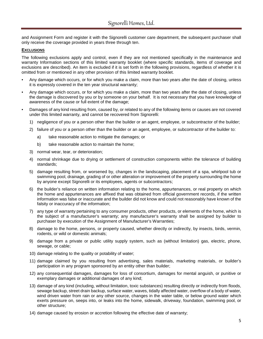and Assignment Form and register it with the Signorelli customer care department, the subsequent purchaser shall only receive the coverage provided in years three through ten.

#### **EXCLUSIONS**

The following exclusions apply and control, even if they are not mentioned specifically in the maintenance and warranty Information sections of this limited warranty booklet (where specific standards, items of coverage and exclusions are described). An item is excluded if it is set forth in the following provisions, regardless of whether it is omitted from or mentioned in any other provision of this limited warranty booklet.

- Any damage which occurs, or for which you make a claim, more than two years after the date of closing, unless it is expressly covered in the ten year structural warranty;
- Any damage which occurs, or for which you make a claim, more than two years after the date of closing, unless the damage is discovered by you or by someone on your behalf. It is not necessary that you have knowledge of awareness of the cause or full extent of the damage;
- Damages of any kind resulting from, caused by, or related to any of the following items or causes are not covered under this limited warranty, and cannot be recovered from Signorelli:
	- 1) negligence of you or a person other than the builder or an agent, employee, or subcontractor of the builder;
	- 2) failure of you or a person other than the builder or an agent, employee, or subcontractor of the builder to:
		- a) take reasonable action to mitigate the damages; or
		- b) take reasonable action to maintain the home:
	- 3) normal wear, tear, or deterioration;
	- 4) normal shrinkage due to drying or settlement of construction components within the tolerance of building standards;
	- 5) damage resulting from, or worsened by, changes in the landscaping, placement of a spa, whirlpool tub or swimming pool, drainage, grading of or other alteration or improvement of the property surrounding the home by anyone except Signorelli or its employees, agents or subcontractors;
	- 6) the builder's reliance on written information relating to the home, appurtenances, or real property on which the home and appurtenances are affixed that was obtained from official government records, if the written information was false or inaccurate and the builder did not know and could not reasonably have known of the falsity or inaccuracy of the information;
	- 7) any type of warranty pertaining to any consumer products, other products, or elements of the home, which is the subject of a manufacturer's warranty; any manufacturer's warranty shall be assigned by builder to purchaser by execution of the Assignment of Manufacturer's Warranties;
	- 8) damage to the home, persons, or property caused, whether directly or indirectly, by insects, birds, vermin, rodents, or wild or domestic animals;
	- 9) damage from a private or public utility supply system, such as (without limitation) gas, electric, phone, sewage, or cable;
	- 10) damage relating to the quality or potability of water;
	- 11) damage claimed by you resulting from advertising, sales materials, marketing materials, or builder's participation in any program sponsored by an entity other than builder;
	- 12) any consequential damages, damages for loss of consortium, damages for mental anguish, or punitive or exemplary damages or additional damages of any kind;
	- 13) damage of any kind (including, without limitation, toxic substances) resulting directly or indirectly from floods, sewage backup, street drain backup, surface water, waves, tidally affected water, overflow of a body of water, wind driven water from rain or any other source, changes in the water table, or below ground water which exerts pressure on, seeps into, or leaks into the home, sidewalk, driveway, foundation, swimming pool, or other structure;
	- 14) damage caused by erosion or accretion following the effective date of warranty;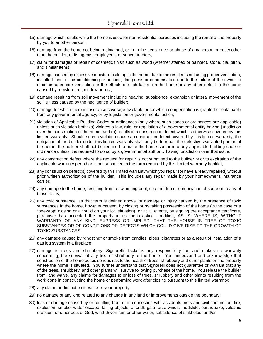- 15) damage which results while the home is used for non-residential purposes including the rental of the property by you to another person;
- 16) damage from the home not being maintained, or from the negligence or abuse of any person or entity other than the builder, or its agents, employees, or subcontractors;
- 17) claim for damages or repair of cosmetic finish such as wood (whether stained or painted), stone, tile, birch, and similar items;
- 18) damage caused by excessive moisture build up in the home due to the residents not using proper ventilation, installed fans, or air conditioning or heating, dampness or condensation due to the failure of the owner to maintain adequate ventilation or the effects of such failure on the home or any other defect to the home caused by moisture, rot, mildew or rust;
- 19) damage resulting from soil movement including heaving, subsidence, expansion or lateral movement of the soil, unless caused by the negligence of builder;
- 20) damage for which there is insurance coverage available or for which compensation is granted or obtainable from any governmental agency, or by legislation or governmental action;
- 21) violation of Applicable Building Codes or ordinances (only where such codes or ordinances are applicable) unless such violation both: (a) violates a law, rule, or regulation of a governmental entity having jurisdiction over the construction of the home; and (b) results in a construction defect which is otherwise covered by this limited warranty. Should such a violation cause a construction defect covered by this limited warranty, the obligation of the builder under this limited warranty shall only be to repair the defective warranted portion of the home; the builder shall not be required to make the home conform to any applicable building code or ordinance unless it is required to do so by a governmental authority having jurisdiction over that issue;
- 22) any construction defect where the request for repair is not submitted to the builder prior to expiration of the applicable warranty period or is not submitted in the form required by this limited warranty booklet;
- 23) any construction defect(s) covered by this limited warranty which you repair (or have already repaired) without prior written authorization of the builder. This includes any repair made by your homeowner's insurance carrier;
- 24) any damage to the home, resulting from a swimming pool, spa, hot tub or combination of same or to any of those items;
- 25) any toxic substance, as that term is defined above, or damage or injury caused by the presence of toxic substances in the home, however caused; by closing or by taking possession of the home (in the case of a "one-stop" closing or a "build on your lot" situation), or at all events, by signing the acceptance certificate, purchaser has accepted the property in its then-existing condition, AS IS, WHERE IS, WITHOUT WARRANTY OF ANY KIND, EXPRESS OR IMPLIED, THAT THE HOUSE IS FREE OF TOXIC SUBSTANCES OR OF CONDITIONS OR DEFECTS WHICH COULD GIVE RISE TO THE GROWTH OF TOXIC SUBSTANCES;
- 26) any damage caused by "ghosting" or smoke from candles, pipes, cigarettes or as a result of installation of a gas log system in a fireplace;
- 27) damage to trees and shrubbery; Signorelli disclaims any responsibility for, and makes no warranty concerning, the survival of any tree or shrubbery at the home. You understand and acknowledge that construction of the home poses serious risk to the health of trees, shrubbery and other plants on the property where the home is situated. You further understand that Signorelli does not guarantee or warrant that any of the trees, shrubbery, and other plants will survive following purchase of the home. You release the builder from, and waive, any claims for damages to or loss of trees, shrubbery and other plants resulting from the work done in constructing the home or performing work after closing pursuant to this limited warranty;
- 28) any claim for diminution in value of your property;
- 29) no damage of any kind related to any change in any land or improvements outside the boundary;
- 30) loss or damage caused by or resulting from or in connection with accidents, riots and civil commotion, fire, explosion, smoke, water escape, falling objects, aircraft, gale force winds, mudslide, earthquake, volcanic eruption, or other acts of God, wind-driven rain or other water, subsidence of sinkholes; and/or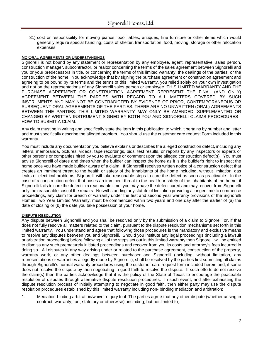31) cost or responsibility for moving pianos, pool tables, antiques, fine furniture or other items which would generally require special handling; costs of shelter, transportation, food, moving, storage or other relocation expenses.

# **NO ORAL AGREEMENTS OR UNDERSTANDINGS**

Signorelli is not bound by any statement or representation by any employee, agent, representative, sales person, construction manager, subcontractor, or realtor concerning the terms of the sales agreement between Signorelli and you or your predecessors in title, or concerning the terms of this limited warranty, the dealings of the parties, or the construction of the home. You acknowledge that by signing the purchase agreement or construction agreement and agreeing to be bound by its terms and the terms of this limited warranty, you relied solely on your own investigation and not on the representations of any Signorelli sales person or employee. THIS LIMITED WARRANTY AND THE PURCHASE AGREEMENT OR CONSTRUCTION AGREEMENT REPRESENT THE FINAL (AND ONLY) AGREEMENT BETWEEN THE PARTIES WITH REGARD TO ALL MATTERS COVERED BY SUCH INSTRUMENTS AND MAY NOT BE CONTRADICTED BY EVIDENCE OF PRIOR, CONTEMPORANEOUS OR SUBSEQUENT ORAL AGREEMENTS OF THE PARTIES. THERE ARE NO UNWRITTEN (ORAL) AGREEMENTS BETWEEN THE PARTIES. THIS LIMITED WARRANTY MAY ONLY BE AMENDED, SUPPLEMENTED OR CHANGED BY WRITTEN INSTRUMENT SIGNED BY BOTH YOU AND SIGNORELLI CLAIMS PROCEDURES - HOW TO SUBMIT A CLAIM.

Any claim must be in writing and specifically state the item in this publication to which it pertains by number and letter and must specifically describe the alleged problem. You should use the customer care request Form included in this warranty.

You must include any documentation you believe explains or describes the alleged construction defect, including any letters, memoranda, pictures, videos, tape recordings, bids, test results, or reports by any inspectors or experts or other persons or companies hired by you to evaluate or comment upon the alleged construction defect(s). You must advise Signorelli of dates and times when the builder can inspect the home as it is the builder's right to inspect the home once you have made builder aware of a claim. If Signorelli receives written notice of a construction defect that creates an imminent threat to the health or safety of the inhabitants of the home including, without limitation, gas leaks or electrical problems, Signorelli will take reasonable steps to cure the defect as soon as practicable. In the case of a construction defect that poses an imminent threat to the health or safety of the inhabitants of the home, if Signorelli fails to cure the defect in a reasonable time, you may have the defect cured and may recover from Signorelli only the reasonable cost of the repairs. Notwithstanding any statute of limitation providing a longer time to commence proceedings, any claim for breach of warranty under the first and second year warranty provisions of the Signorelli Homes Two Year Limited Warranty, must be commenced within two years and one day after the earlier of (a) the date of closing or (b) the date you take possession of your home.

#### **DISPUTE RESOLUTION**

Any dispute between Signorelli and you shall be resolved only by the submission of a claim to Signorelli or, if that does not fully resolve all matters related to the claim, pursuant to the dispute resolution mechanisms set forth in this limited warranty. You understand and agree that following those procedures is the mandatory and exclusive means to resolve any disputes between you and Signorelli. Should you institute any legal proceedings (including a lawsuit or arbitration proceeding) before following all of the steps set out in this limited warranty then Signorelli will be entitled to dismiss any such prematurely initiated proceedings and recover from you its costs and attorney's fees incurred in doing so. All disputes in any way arising under or related to the purchase agreement, construction of the property, warranty work, or any other dealings between purchaser and Signorelli (including, without limitation, any representations or warranties allegedly made by Signorelli), shall be resolved by the parties first submitting all claims through Signorelli's normal warranty procedures using the customer care request form included herein and, if same does not resolve the dispute by then negotiating in good faith to resolve the dispute. If such efforts do not resolve the claim(s) then the parties acknowledge that it is the policy of the State of Texas to encourage the peaceable resolution of disputes through alternative dispute resolution procedures. In such event, and after exhausting the dispute resolution process of initially attempting to negotiate in good faith, then either party may use the dispute resolution procedures established by this limited warranty including non- binding mediation and arbitration:

1. Mediation-binding arbitration/waiver of jury trial: The parties agree that any other dispute (whether arising in contract, warranty, tort, statutory or otherwise), including, but not limited to,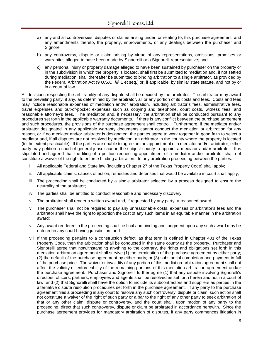- a) any and all controversies, disputes or claims arising under, or relating to, this purchase agreement, and any amendments thereto, the property, improvements, or any dealings between the purchaser and Signorelli;
- b) any controversy, dispute or claim arising by virtue of any representations, omissions, promises or warranties alleged to have been made by Signorelli or a Signorelli representative; and
- c) any personal injury or property damage alleged to have been sustained by purchaser on the property or in the subdivision in which the property is located, shall first be submitted to mediation and, if not settled during mediation, shall thereafter be submitted to binding arbitration to a single arbitrator, as provided by the Federal Arbitration Act (9 U.S.C. §§ 1 et seq.) or, if applicable, by similar state statute, and not by or in a court of law.

All decisions respecting the arbitrability of any dispute shall be decided by the arbitrator. The arbitrator may award to the prevailing party, if any, as determined by the arbitrator, all or any portion of its costs and fees. Costs and fees may include reasonable expenses of mediation and/or arbitration, including arbitrator's fees, administrative fees, travel expenses and out-of-pocket expenses such as copying and telephone, court costs, witness fees, and reasonable attorney's fees. The mediation and, if necessary, the arbitration shall be conducted pursuant to any procedures set forth in the applicable warranty documents. If there is any conflict between the purchase agreement and such procedures, the provisions of the purchase agreement shall control. Furthermore, if the mediator and/or arbitrator designated in any applicable warranty documents cannot conduct the mediation or arbitration for any reason, or if no mediator and/or arbitrator is designated, the parties agree to work together in good faith to select a mediator and, if all disputes are not resolved by mediation, an arbitrator in the county where the property is located (to the extent practicable). If the parties are unable to agree on the appointment of a mediator and/or arbitrator, either party may petition a court of general jurisdiction in the subject county to appoint a mediator and/or arbitrator. It is stipulated and agreed that the filing of a petition requesting appointment of a mediator and/or arbitrator shall not constitute a waiver of the right to enforce binding arbitration. In any arbitration proceeding between the parties:

- i. All applicable Federal and State law (including Chapter 27 of the Texas Property Code) shall apply;
- ii. All applicable claims, causes of action, remedies and defenses that would be available in court shall apply;
- iii. The proceeding shall be conducted by a single arbitrator selected by a process designed to ensure the neutrality of the arbitrator;
- iv. The parties shall be entitled to conduct reasonable and necessary discovery;
- v. The arbitrator shall render a written award and, if requested by any party, a reasoned award;
- vi. The purchaser shall not be required to pay any unreasonable costs, expenses or arbitrator's fees and the arbitrator shall have the right to apportion the cost of any such items in an equitable manner in the arbitration award;
- vii. Any award rendered in the proceeding shall be final and binding and judgment upon any such award may be entered in any court having jurisdiction; and
- viii. If the proceeding pertains to a construction defect, as that term is defined in Chapter 401 of the Texas Property Code, then the arbitration shall be conducted in the same county as the property. Purchaser and Signorelli agree that notwithstanding anything to the contrary, the rights and obligations set forth in this mediation-arbitration agreement shall survive (1) the termination of the purchase agreement by either party; (2) the default of the purchase agreement by either party; or (3) substantial completion and payment in full of the purchase price. The waiver or invalidity of any portion of this mediation-arbitration agreement shall not affect the validity or enforceability of the remaining portions of this mediation-arbitration agreement and/or the purchase agreement. Purchaser and Signorelli further agree (1) that any dispute involving Signorelli's directors, officers, partners, employees and agents shall be resolved as set forth herein and not in a court of law; and (2) that Signorelli shall have the option to include its subcontractors and suppliers as parties in the alternative dispute resolution procedures set forth in the purchase agreement. If any party to the purchase agreement files a proceeding in any court to resolve any such controversy, dispute or claim, such action shall not constitute a waiver of the right of such party or a bar to the right of any other party to seek arbitration of that or any other claim, dispute or controversy, and the court shall, upon motion of any party to the proceeding, direct that such controversy, dispute or claim be arbitrated in accordance herewith. Since the purchase agreement provides for mandatory arbitration of disputes, if any party commences litigation in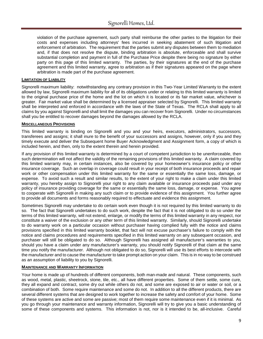violation of the purchase agreement, such party shall reimburse the other parties to the litigation for their costs and expenses including attorneys' fees incurred in seeking abatement of such litigation and enforcement of arbitration. The requirement that the parties submit any disputes between them to mediation and, if that does not resolve the dispute, binding arbitration is absolute, enforceable and shall survive substantial completion and payment in full of the Purchase Price despite there being no signature by either party on this page of this limited warranty. The parties, by their signatures at the end of the purchase agreement and this limited warranty, agree to arbitration as if their signatures appeared on the page where arbitration is made part of the purchase agreement.

# **LIMITATION OF LIABILITY**

Signorelli maximum liability: notwithstanding any contrary provision in this Two-Year Limited Warranty to the extent allowed by law, Signorelli maximum liability for all of its obligations under or relating to this limited warranty is limited to the original purchase price of the home and the lot on which it is located or its fair market value, whichever is greater. Fair market value shall be determined by a licensed appraiser selected by Signorelli. This limited warranty shall be interpreted and enforced in accordance with the laws of the State of Texas. The RCLA shall apply to all claims by you against Signorelli and shall limit the damages you can recover from Signorelli. Under no circumstances shall you be entitled to recover damages beyond the damages allowed by the RCLA.

# **MISCELLANEOUS PROVISIONS**

This limited warranty is binding on Signorelli and you and your heirs, executors, administrators, successors, transferees and assigns; it shall inure to the benefit of your successors and assigns, however, only if you and they timely execute and deliver the Subsequent home Buyer Acknowledgment and Assignment form, a copy of which is included herein, and then, only to the extent therein and herein provided.

If any provision of this limited warranty is determined by a court of competent jurisdiction to be unenforceable, then such determination will not affect the validity of the remaining provisions of this limited warranty. A claim covered by this limited warranty may, in certain instances, also be covered by your homeowner's insurance policy or other insurance coverage. Such an overlap in coverage could result in your receipt of both insurance proceeds and repair work or other compensation under this limited warranty for the same or essentially the same loss, damage, or expense. To avoid such a result and similar results, to the extent of your right to make a claim under this limited warranty, you hereby assign to Signorelli your right to any claim available or insurance proceeds paid under any policy of insurance providing coverage for the same or essentially the same loss, damage, or expense. You agree to cooperate with Signorelli in making any such claim or to provide evidence of this assignment. You further agree to provide all documents and forms reasonably required to effectuate and evidence this assignment.

Sometimes Signorelli may undertake to do certain work even though it is not required by this limited warranty to do so. The fact that Signorelli undertakes to do such work, despite the fact that it is not obligated to do so under the terms of this limited warranty, will not extend, enlarge, or modify the terms of this limited warranty in any respect, nor constitute a waiver of the exclusion or any other term of this limited warranty. Similarly, should Signorelli undertake to do warranty work on a particular occasion without purchaser having complied fully with the notice and claims provisions specified in this limited warranty booklet, that fact will not excuse purchaser's failure to comply with the notice and claims procedures and requirements specified in this limited warranty on any subsequent occasion, and purchaser will still be obligated to do so. Although Signorelli has assigned all manufacturer's warranties to you, should you have a claim under any manufacturer's warranty, you should notify Signorelli of that claim at the same time you notify the manufacturer. Although not obligated to do so, Signorelli will use its best efforts to intercede with the manufacturer and to cause the manufacturer to take prompt action on your claim. This is in no way to be construed as an assumption of liability to you by Signorelli.

#### **MAINTENANCE AND WARRANTY INFORMATION**

Your home is made up of hundreds of different components, both man-made and natural. These components, such as wood, metal, plastic, sheetrock, stone, tile, etc., all have different properties. Some of them settle, some cure, they all expand and contract, some dry out while others do not, and some are exposed to air or water or soil, or a combination of both. Some require maintenance and some do not. In addition to all the different products, there are several different systems that are designed to work together to increase the safety and comfort of your home. Some of these systems are active and some are passive; most of them require some maintenance even if it is minimal. As you go through your maintenance and warranty information, Signorelli will try to give you a basic understanding of some of these components and systems. This information is not, nor is it intended to be, all-inclusive. Careful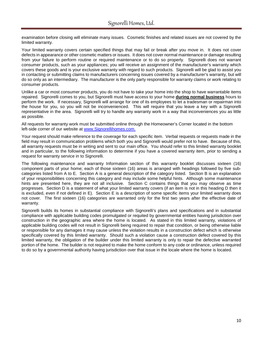examination before closing will eliminate many issues. Cosmetic finishes and related issues are not covered by the limited warranty.

Your limited warranty covers certain specified things that may fail or break after you move in. It does not cover defects in appearance or other cosmetic matters or issues. It does not cover normal maintenance or damage resulting from your failure to perform routine or required maintenance or to do so properly. Signorelli does not warrant consumer products, such as your appliances; you will receive an assignment of the manufacturer's warranty which covers these goods and is your exclusive warranty with regard to such products. Signorelli will be glad to assist you in contacting or submitting claims to manufacturers concerning issues covered by a manufacturer's warranty, but will do so only as an intermediary. The manufacturer is the only party responsible for warranty claims or work relating to consumer products.

Unlike a car or most consumer products, you do not have to take your home into the shop to have warrantable items repaired. Signorelli comes to you, but Signorelli must have access to your home **during normal business** hours to perform the work. If necessary, Signorelli will arrange for one of its employees to let a tradesman or repairman into the house for you, so you will not be inconvenienced. This will require that you leave a key with a Signorelli representative in the area. Signorelli will try to handle any warranty work in a way that inconveniences you as little as possible.

All requests for warranty work must be submitted online through the Homeowner's Corner located in the bottom left-side corner of our website at [www.Signorellihomes.com.](http://www.signorellihomes.com/)

Your request should make reference to the coverage for each specific item. Verbal requests or requests made in the field may result in communication problems which both you and Signorelli would prefer not to have. Because of this, all warranty requests must be in writing and sent to our main office. You should refer to this limited warranty booklet and in particular, to the following information to determine if you have a covered warranty item, prior to sending a request for warranty service in to Signorelli.

The following maintenance and warranty Information section of this warranty booklet discusses sixteen (16) component parts of your home; each of those sixteen (16) areas is arranged with headings followed by five subcategories listed from A to E. Section A is a general description of the category listed. Section B is an explanation of your responsibilities concerning this category and may include some helpful hints. Although some maintenance hints are presented here, they are not all inclusive. Section C contains things that you may observe as time progresses. Section D is a statement of what your limited warranty covers (if an item is not in this heading D then it is excluded, even if not defined in E). Section E is a description of some specific items your limited warranty does not cover. The first sixteen (16) categories are warranted only for the first two years after the effective date of warranty.

Signorelli builds its homes in substantial compliance with Signorelli's plans and specifications and in substantial compliance with applicable building codes promulgated or requited by governmental entities having jurisdiction over construction in the geographic area where the home is located. As stated in this limited warranty, violations of applicable building codes will not result in Signorelli being required to repair that condition, or being otherwise liable or responsible for any damages it may cause unless the violation results in a construction defect which is otherwise specifically covered by this limited warranty. Should such a violation cause a construction defect covered by this limited warranty, the obligation of the builder under this limited warranty is only to repair the defective warranted portion of the home. The builder is not required to make the home conform to any code or ordinance, unless required to do so by a governmental authority having jurisdiction over that issue in the locale where the home is located.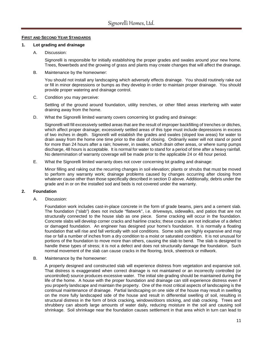# **FIRST AND SECOND YEAR STANDARDS**

# **1. Lot grading and drainage**

A. Discussion:

Signorelli is responsible for initially establishing the proper grades and swales around your new home. Trees, flowerbeds and the growing of grass and plants may create changes that will affect the drainage.

#### B. Maintenance by the homeowner:

You should not install any landscaping which adversely effects drainage. You should routinely rake out or fill in minor depressions or bumps as they develop in order to maintain proper drainage. You should provide proper watering and drainage control.

C. Condition you may perceive:

Settling of the ground around foundation, utility trenches, or other filled areas interfering with water draining away from the home.

D. What the Signorelli limited warranty covers concerning lot grading and drainage:

Signorelli will fill excessively settled areas that are the result of improper backfilling of trenches or ditches, which affect proper drainage; excessively settled areas of this type must include depressions in excess of two inches in depth. Signorelli will establish the grades and swales (sloped low areas) for water to drain away from the home one time prior to the date of closing. Ordinarily water will not stand or pond for more than 24 hours after a rain; however, in swales, which drain other areas, or where sump pumps discharge, 48 hours is acceptable. It is normal for water to stand for a period of time after a heavy rainfall. No determination of warranty coverage will be made prior to the applicable 24 or 48 hour period.

E. What the Signorelli limited warranty does not cover concerning lot grading and drainage:

Minor filling and raking out the recurring changes in soil elevation; plants or shrubs that must be moved to perform any warranty work; drainage problems caused by changes occurring after closing from whatever cause other than those specifically described in section D above. Additionally, debris under the grade and in or on the installed sod and beds is not covered under the warranty.

# **2. Foundation**

A. Discussion:

Foundation work includes cast-in-place concrete in the form of grade beams, piers and a cement slab. The foundation ("slab") does not include "flatwork", i.e. driveways, sidewalks, and patios that are not structurally connected to the house slab as one piece. Some cracking will occur in the foundation. Concrete slabs will develop corner cracks and hairline cracks; these cracks are not indicative of a defect or damaged foundation. An engineer has designed your home's foundation. It is normally a floating foundation that will rise and fall vertically with soil conditions. Some soils are highly expansive and may rise or fall a number of inches from a dry condition to a moist or saturated condition. It is not unusual for portions of the foundation to move more than others, causing the slab to bend. The slab is designed to handle these types of stress; it is not a defect and does not structurally damage the foundation. Such normal movement of the slab can cause cracks in the flooring, brick, sheetrock or millwork.

B. Maintenance by the homeowner:

A properly designed and constructed slab will experience distress from vegetation and expansive soil. That distress is exaggerated when correct drainage is not maintained or an incorrectly controlled (or uncontrolled) source produces excessive water. The initial site grading should be maintained during the life of the home. A house with the proper foundation and drainage can still experience distress even if you properly landscape and maintain the property. One of the most critical aspects of landscaping is the continual maintenance of drainage. Partial landscaping on one side of the house may result in swelling on the more fully landscaped side of the house and result in differential swelling of soil, resulting in structural distress in the form of brick cracking, windows/doors sticking, and slab cracking. Trees and shrubbery can absorb large amounts of water daily, reducing moisture in the soil and causing soil shrinkage. Soil shrinkage near the foundation causes settlement in that area which in turn can lead to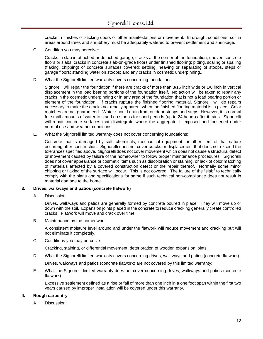cracks in finishes or sticking doors or other manifestations or movement. In drought conditions, soil in areas around trees and shrubbery must be adequately watered to prevent settlement and shrinkage.

C. Condition you may perceive:

Cracks in slab in attached or detached garage; cracks at the corner of the foundation; uneven concrete floors or slabs; cracks in concrete slab-on-grade floors under finished flooring; pitting, scaling or spalling (flaking, chipping) of concrete surfaces covered; settling, heaving or separating of stoops, steps or garage floors; standing water on stoops; and any cracks in cosmetic underpinning..

D. What the Signorelli limited warranty covers concerning foundations:

Signorelli will repair the foundation if there are cracks of more than 3/16 inch wide or 1/8 inch in vertical displacement in the load bearing portions of the foundation itself. No action will be taken to repair any cracks in the cosmetic underpinning or in any area of the foundation that is not a load bearing portion or element of the foundation. If cracks rupture the finished flooring material, Signorelli will do repairs necessary to make the cracks not readily apparent when the finished flooring material is in place. Color matches are not guaranteed. Water should drain from outdoor stoops and steps. However, it is normal for small amounts of water to stand on stoops for short periods (up to 24 hours) after it rains. Signorelli will repair concrete surfaces that disintegrate where the aggregate is exposed and loosened under normal use and weather conditions.

E. What the Signorelli limited warranty does not cover concerning foundations:

Concrete that is damaged by salt, chemicals, mechanical equipment, or other item of that nature occurring after construction. Signorelli does not cover cracks or displacement that does not exceed the tolerances specified above. Signorelli does not cover movement which does not cause a structural defect or movement caused by failure of the homeowner to follow proper maintenance procedures. Signorelli does not cover appearance or cosmetic items such as discoloration or staining, or lack of color matching of materials affected by a covered construction defect or the repair thereof. Normally some minor chipping or flaking of the surface will occur. This is not covered. The failure of the "slab" to technically comply with the plans and specifications for same if such technical non-compliance does not result in material damage to the home.

# **3. Drives, walkways and patios (concrete flatwork)**

A. Discussion:

Drives, walkways and patios are generally formed by concrete poured in place. They will move up or down with the soil. Expansion joints placed in the concrete to reduce cracking generally create controlled cracks. Flatwork will move and crack over time.

B. Maintenance by the homeowner:

A consistent moisture level around and under the flatwork will reduce movement and cracking but will not eliminate it completely.

C. Conditions you may perceive:

Cracking, staining, or differential movement, deterioration of wooden expansion joints.

D. What the Signorelli limited warranty covers concerning drives, walkways and patios (concrete flatwork):

Drives, walkways and patios (concrete flatwork) are not covered by this limited warranty:

E. What the Signorelli limited warranty does not cover concerning drives, walkways and patios (concrete flatwork):

Excessive settlement defined as a rise or fall of more than one inch in a one foot span within the first two years caused by improper installation will be covered under this warranty.

# **4. Rough carpentry**

A. Discussion: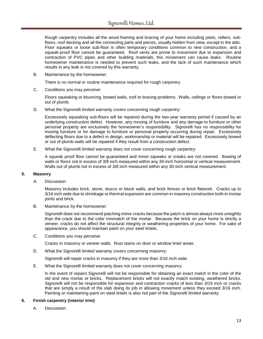Rough carpentry includes all the wood framing and bracing of your home including joists, rafters, subfloors, roof decking and all the connecting parts and pieces, usually hidden from view, except in the attic. Floor squeaks or loose sub-floor is often temporary conditions common to new construction, and a squeak-proof floor cannot be guaranteed. Roof vents are prone to movement due to expansion and contraction of PVC pipes and other building materials; this movement can cause leaks. Routine homeowner maintenance is needed to prevent such leaks, and the lack of such maintenance which results in any leak is not covered by this warranty.

B. Maintenance by the homeowner:

There is no normal or routine maintenance required for rough carpentry.

C. Conditions you may perceive:

Floors squeaking or bouncing, bowed walls, roof or bracing problems. Walls, ceilings or floors bowed or out of plumb.

D. What the Signorelli limited warranty covers concerning rough carpentry:

Excessively squeaking sub-floors will be repaired during the two-year warranty period if caused by an underlying construction defect. However, any moving of furniture and any damage to furniture or other personal property are exclusively the homeowner's responsibility. Signorelli has no responsibility for moving furniture or for damage to furniture or personal property occurring during repair. Excessively deflecting floors due to a defect in design, workmanship or material will be repaired. Excessively bowed or out of plumb walls will be repaired if they result from a construction defect.

E. What the Signorelli limited warranty does not cover concerning rough carpentry:

A squeak proof floor cannot be guaranteed and minor squeaks or creaks are not covered. Bowing of walls or floors not in excess of 3/8 inch measured within any 30-inch horizontal or vertical measurement. Walls out of plumb not in excess of 3/8 inch measured within any 30-inch vertical measurement.

#### **5. Masonry**

A. Discussion:

Masonry includes brick, stone, stucco or block walls, and brick fences or brick flatwork. Cracks up to 3/16 inch wide due to shrinkage or thermal expansion are common in masonry construction both in mortar joints and brick.

B. Maintenance by the homeowner:

Signorelli does not recommend patching minor cracks because the patch is almost always more unsightly than the crack due to the color mismatch of the mortar. Because the brick on your home is strictly a veneer, cracks do not affect the structural integrity or weathering properties of your home. For sake of appearance, you should maintain paint on your steel lintels.

C. Conditions you may perceive:

Cracks in masonry or veneer walls. Rust stains on door or window lintel areas.

D. What the Signorelli limited warranty covers concerning masonry:

Signorelli will repair cracks in masonry if they are more than 3/16 inch wide.

E. What the Signorelli limited warranty does not cover concerning masonry:

In the event of repairs Signorelli will not be responsible for obtaining an exact match in the color of the old and new mortar or bricks. Replacement bricks will not exactly match existing, weathered bricks. Signorelli will not be responsible for expansion and contraction cracks of less than 3/16 inch or cracks that are simply a result of the slab doing its job in allowing movement unless they exceed 3/16 inch. Painting or maintaining paint on steel lintels is also not part of the Signorelli limited warranty.

# **6. Finish carpentry (interior trim)**

A. Discussion: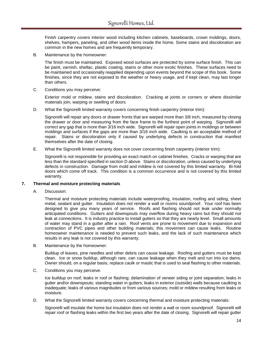Finish carpentry covers interior wood including kitchen cabinets, baseboards, crown moldings, doors, shelves, hampers, paneling, and other wood items inside the home. Some stains and discoloration are common in the new homes and are frequently temporary.

B. Maintenance by the homeowner:

The finish must be maintained. Exposed wood surfaces are protected by some surface finish. This can be paint, varnish, shellac, plastic coating, stains or other more exotic finishes. These surfaces need to be maintained and occasionally reapplied depending upon events beyond the scope of this book. Some finishes, since they are not exposed to the weather or heavy usage, and if kept clean, may last longer than others.

C. Conditions you may perceive:

Exterior mold or mildew, stains and discoloration. Cracking at joints or corners or where dissimilar materials join, warping or swelling of doors

D. What the Signorelli limited warranty covers concerning finish carpentry (interior trim):

Signorelli will repair any doors or drawer fronts that are warped more than 3/8 inch, measured by closing the drawer or door and measuring from the face frame to the furthest point of warping. Signorelli will correct any gap that is more than 3/16 inch wide. Signorelli will repair open joints in moldings or between moldings and surfaces if the gaps are more than 3/16 inch wide. Caulking is an acceptable method of repair. Stains or discoloration only if caused by underlying defects in construction that manifest themselves after the date of closing.

E. What the Signorelli limited warranty does not cover concerning finish carpentry (interior trim):

Signorelli is not responsible for providing an exact match on cabinet finishes. Cracks or warping that are less than the standard specified in section D above. Stains or discoloration, unless caused by underlying defects in construction. Damage from mold and mildew is not covered by this limited warranty. Bi-fold doors which come off track. This condition is a common occurrence and is not covered by this limited warranty.

# **7. Thermal and moisture protecting materials**

A. Discussion:

Thermal and moisture protecting materials include waterproofing, insulation, roofing and siding, sheet metal, sealant and gutter. Insulation does not render a wall or rooms soundproof. Your roof has been designed to give you many years of service. Roofs and flashing should not leak under normally anticipated conditions. Gutters and downspouts may overflow during heavy rains but they should not leak at connections. It is industry practice to install gutters so that they are nearly level. Small amounts of water may stand in a gutter after a rain. Roof vents are prone to movement due to expansion and contraction of PVC pipes and other building materials; this movement can cause leaks. Routine homeowner maintenance is needed to prevent such leaks, and the lack of such maintenance which results in any leak is not covered by this warranty.

B. Maintenance by the homeowner:

Buildup of leaves, pine needles and other debris can cause leakage. Roofing and gutters must be kept clean. Ice or snow buildup, although rare, can cause leakage when they melt and run into ice dams. Owner should, on a regular basis, replace caulk or mastic that is used to seal flashing to other materials.

C. Conditions you may perceive:

Ice buildup on roof; leaks in roof or flashing; delamination of veneer siding or joint separation; leaks in gutter and/or downspouts; standing water in gutters; leaks in exterior (outside) walls because caulking is inadequate; leaks of various magnitudes or from various sources; mold or mildew resulting from leaks or moisture.

D. What the Signorelli limited warranty covers concerning thermal and moisture protecting materials:

Signorelli will insulate the home but insulation does not render a wall or room soundproof. Signorelli will repair roof or flashing leaks within the first two years after the date of closing. Signorelli will repair gutter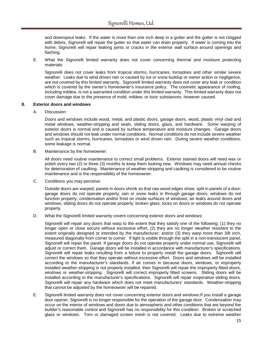and downspout leaks. If the water is more than one inch deep in a gutter and the gutter is not clogged with debris, Signorelli will repair the gutter so that water can drain properly. If water is coming into the home, Signorelli will repair leaking joints or cracks in the exterior wall surface around openings and flashing.

E. What the Signorelli limited warranty does not cover concerning thermal and moisture protecting materials:

Signorelli does not cover leaks from tropical storms, hurricanes, tornadoes and other similar severe weather. Leaks due to wind driven rain or caused by ice or snow buildup or owner action or negligence, are not covered by this limited warranty. Signorelli limited warranty does not cover any leak or condition which is covered by the owner's homeowner's insurance policy. The cosmetic appearance of roofing, including mildew, is not a warranted condition under this limited warranty. This limited warranty does not cover damage due to the presence of mold, mildew, or toxic substances, however caused.

#### **8. Exterior doors and windows**

A. Discussion:

Doors and windows include wood, metal, and plastic doors, garage doors, wood, plastic vinyl clad and metal windows, weather-stripping and seals, sliding doors, glass, and hardware. Some warping of exterior doors is normal and is caused by surface temperature and moisture changes. Garage doors and windows should not leak under normal conditions. Normal conditions do not include severe weather such as tropical storms, hurricanes, tornadoes or wind driven rain. During severe weather conditions, some leakage is normal.

B. Maintenance by the homeowner:

All doors need routine maintenance to correct small problems. Exterior stained doors will need wax or polish every two (2) or three (3) months to keep them looking new. Windows may need annual checks for deterioration of caulking. Maintenance of weather-stripping and caulking is considered to be routine maintenance and is the responsibility of the homeowner.

C. Conditions you may perceive:

Outside doors are warped; panels in doors shrink so that raw wood edges show; split in panels of a door; garage doors do not operate properly; rain or snow leaks in through garage doors; windows do not function properly; condensation and/or frost on inside surfaces of windows; air leaks around doors and windows; sliding doors do not operate properly; broken glass; locks on doors or windows do not operate properly.

D. What the Signorelli limited warranty covers concerning exterior doors and windows:

Signorelli will repair any doors that warp to the extent that they satisfy one of the following: (1) they no longer open or close secure without excessive effort, (2) they are no longer weather resistant to the extent originally designed or intended by the manufacturer; and/or (3) they warp more than 3/8 inch, measured diagonally from corner to corner. If light is visible through the split in a non-translucent panel, Signorelli will repair the panel. If garage doors do not operate properly under normal use, Signorelli will adjust or correct them. Garage doors will be installed in accordance with manufacturer's specifications. Signorelli will repair leaks resulting from a failure to properly install the garage doors. Signorelli will correct the windows so that they operate without excessive effort. Doors and windows will be installed according to the manufacturer's standards. If air comes in because doors, windows, or improperly installed weather-stripping is not properly installed, then Signorelli will repair the improperly fitted doors, windows or weather-stripping. Signorelli will correct improperly fitted screens. Sliding doors will be installed according to the manufacturer's specifications. Signorelli will repair inoperative sliding doors. Signorelli will repair any hardware which does not meet manufacturers' standards. Weather-stripping that cannot be adjusted by the homeowner will be repaired.

E. Signorelli limited warranty does not cover concerning exterior doors and windows:If you install a garage door opener, Signorelli is no longer responsible for the operation of the garage door. Condensation may occur on the interior of windows and doors due to atmospheric and other conditions that are beyond the builder's reasonable control and Signorelli has no responsibility for this condition. Broken or scratched glass or windows. Torn or damaged screen mesh is not covered. Leaks due to extreme weather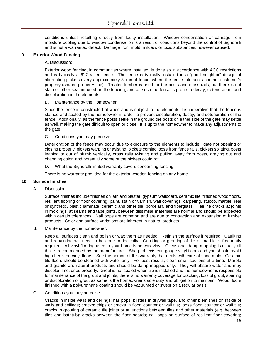conditions unless resulting directly from faulty installation. Window condensation or damage from moisture pooling due to window condensation is a result of conditions beyond the control of Signorelli and is not a warranted defect. Damage from mold, mildew, or toxic substances, however caused.

# **9. Exterior Wood Fencing**

#### A. Discussion:

Exterior wood fencing, in communities where installed, is done so in accordance with ACC restrictions and is typically a 6' 2-railed fence. The fence is typically installed in a "good neighbor" design of alternating pickets every approximately 8' run of fence, where the fence intersects another customer's property (shared property line). Treated lumber is used for the posts and cross rails, but there is not stain or other sealant used on the fencing, and as such the fence is prone to decay, deterioration, and discoloration in the elements.

#### B. Maintenance by the Homeowner:

Since the fence is constructed of wood and is subject to the elements it is imperative that the fence is stained and sealed by the homeowner in order to prevent discoloration, decay, and deterioration of the fence. Additionally, as the fence posts settle in the ground the posts on either side of the gate may settle as well, making the gate difficult to open or close. It is up to the homeowner to make any adjustments to the gate.

C. Conditions you may perceive:

Deterioration of the fence may occur due to exposure to the elements to include: gate not opening or closing properly, pickets warping or twisting, pickets coming loose from fence rails, pickets splitting, posts leaning or out of plumb vertically, cross rails twisting and pulling away from posts, graying out and changing color, and potentially some of the pickets could rot.

D. What the Signorelli limited warranty covers concerning fencing:

There is no warranty provided for the exterior wooden fencing on any home

#### **10. Surface finishes**

A. Discussion:

Surface finishes include finishes on lath and plaster, gypsum wallboard, ceramic tile, finished wood floors, resilient flooring or floor covering, paint, stain or varnish, wall coverings, carpeting, stucco, marble, real or synthetic, plastic laminate, ceramic and other tile, porcelain, and fiberglass. Hairline cracks at joints in moldings, at seams and tape joints, between dissimilar materials are normal and should be expected within certain tolerances. Nail pops are common and are due to contraction and expansion of lumber products. Color and surface variations are inherent in natural products.

B. Maintenance by the homeowner:

Keep all surfaces clean and polish or wax them as needed. Refinish the surface if required. Caulking and repainting will need to be done periodically. Caulking or grouting of tile or marble is frequently required. All vinyl flooring used in your home is no wax vinyl. Occasional damp mopping is usually all that is recommended by the manufacturer. Sharp objects can gouge vinyl floors and you should avoid high heels on vinyl floors. See the portion of this warranty that deals with care of shoe mold. Ceramic tile floors should be cleaned with water only. For best results, clean small sections at a time. Marble and granite are natural products and should be damp mopped only. They will absorb water and may discolor if not dried properly. Grout is not sealed when tile is installed and the homeowner is responsible for maintenance of the grout and joints; there is no warranty coverage for cracking, loss of grout, staining or discoloration of grout as same is the homeowner's sole duty and obligation to maintain. Wood floors finished with a polyurethane coating should be vacuumed or swept on a regular basis.

C. Conditions you may perceive:

Cracks in inside walls and ceilings; nail pops, blisters in drywall tape, and other blemishes on inside of walls and ceilings; cracks; chips or cracks in floor, counter or wall tile; loose floor, counter or wall tile; cracks in grouting of ceramic tile joints or at junctions between tiles and other materials (e.g. between tiles and bathtub); cracks between the floor boards; nail pops on surface of resilient floor covering;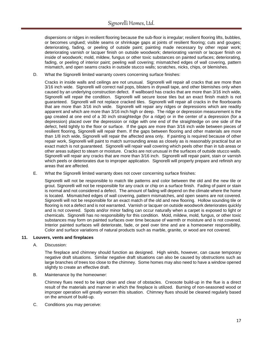dispersions or ridges in resilient flooring because the sub-floor is irregular; resilient flooring lifts, bubbles, or becomes unglued; visible seams or shrinkage gaps at joints of resilient flooring; cuts and gouges; deteriorating, fading, or peeling of outside paint; painting made necessary by other repair work; deteriorating varnish or lacquer finish on outside woodwork; deteriorating varnish or lacquer finish on inside of woodwork; mold, mildew, fungus or other toxic substances on painted surfaces; deteriorating, fading, or peeling of interior paint; peeling wall covering; mismatched edges of wall covering, pattern mismatch, and open seams cracks in outside stucco walls; scratches, nicks, chips, or blemishes.

D. What the Signorelli limited warranty covers concerning surface finishes:

Cracks in inside walls and ceilings are not unusual. Signorelli will repair all cracks that are more than 3/16 inch wide. Signorelli will correct nail pops, blisters in drywall tape, and other blemishes only when caused by an underlying construction defect. If wallboard has cracks that are more than 3/16 inch wide, Signorelli will repair the condition. Signorelli will secure loose tiles but an exact finish match is not guaranteed. Signorelli will not replace cracked tiles. Signorelli will repair all cracks in the floorboards that are more than 3/16 inch wide. Signorelli will repair any ridges or depressions which are readily apparent and which are more than 3/16 inch high or deep. The ridge or depression measurement is the gap created at one end of a 30 inch straightedge (for a ridge) or in the center of a depression (for a depression) placed over the depression or ridge with one end of the straightedge on one side of the defect, held tightly to the floor or surface. If the gaps are more than 3/16 inch wide between pieces of resilient flooring, Signorelli will repair them. If the gaps between flooring and other materials are more than 1/8 inch wide, Signorelli will repair the affected area only. If painting is required because of other repair work, Signorelli will paint to match surrounding areas as closely as is reasonably practical but an exact match is not guaranteed. Signorelli will repair wall covering which peels other than in tub areas or other areas subject to steam or moisture. Cracks are not unusual in the surfaces of outside stucco walls. Signorelli will repair any cracks that are more than 3/16 inch. Signorelli will repair paint, stain or varnish which peels or deteriorates due to improper application. Signorelli will properly prepare and refinish any areas that are affected.

E. What the Signorelli limited warranty does not cover concerning surface finishes:

Signorelli will not be responsible to match tile patterns and color between the old and the new tile or grout. Signorelli will not be responsible for any crack or chip on a surface finish. Fading of paint or stain is normal and not considered a defect. The amount of fading will depend on the climate where the home is located. Mismatched edges of wall covering, pattern mismatches, and open seams are not covered. Signorelli will not be responsible for an exact match of the old and new flooring. Hollow sounding tile or flooring is not a defect and is not warranted. Varnish or lacquer on outside woodwork deteriorates quickly and is not covered. Spots and/or minor fading can occur naturally when a carpet is exposed to light or chemicals. Signorelli has no responsibility for this condition. Mold, mildew, mold, fungus, or other toxic substances may form on painted surfaces over time because of warmth or moisture and is not covered. Interior painted surfaces will deteriorate, fade, or peel over time and are a homeowner responsibility. Color and surface variations of natural products such as marble, granite, or wood are not covered.

#### **11. Louvers, vents and fireplaces**

A. Discussion:

The fireplace and chimney should function as designed. High winds, however, can cause temporary negative draft situations. Similar negative draft situations can also be caused by obstructions such as large branches of trees too close to the chimney. Some homes may also need to have a window opened slightly to create an effective draft.

B. Maintenance by the homeowner:

Chimney flues need to be kept clean and clear of obstacles. Creosote build-up in the flue is a direct result of the materials and manner in which the fireplace is utilized. Burning of non-seasoned wood or improper operation will greatly worsen this situation. Chimney flues should be cleaned regularly based on the amount of build-up.

C. Conditions you may perceive: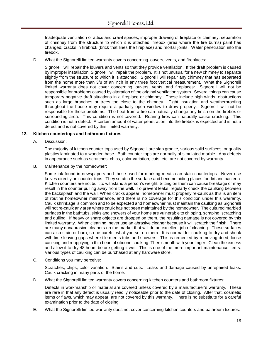Inadequate ventilation of attics and crawl spaces; improper drawing of fireplace or chimney; separation of chimney from the structure to which it is attached; firebox (area where the fire burns) paint has changed; cracks in firebrick (brick that lines the fireplace) and mortar joints. Water penetration into the firebox.

D. What the Signorelli limited warranty covers concerning louvers, vents, and fireplaces:

Signorelli will repair the louvers and vents so that they provide ventilation. If the draft problem is caused by improper installation, Signorelli will repair the problem. It is not unusual for a new chimney to separate slightly from the structure to which it is attached. Signorelli will repair any chimney that has separated from the home more than 3/8 of an inch in any three foot vertical measurement. What the Signorelli limited warranty does not cover concerning louvers, vents, and fireplaces: Signorelli will not be responsible for problems caused by alteration of the original ventilation system. Several things can cause temporary negative draft situations in a fireplace or chimney. These include high winds, obstructions such as large branches or trees too close to the chimney. Tight insulation and weatherproofing throughout the house may require a partially open window to draw properly. Signorelli will not be responsible for these problems. The heat from a fire can naturally change any finish on the firebox or surrounding area. This condition is not covered. Roaring fires can naturally cause cracking. This condition is not a defect. A certain amount of water penetration into the firebox is expected and is not a defect and is not covered by this limited warranty.

# **12. Kitchen countertops and bathroom fixtures**

A. Discussion:

The majority of kitchen counter-tops used by Signorelli are slab granite, various solid surfaces, or quality plastics laminated to a wooden base. Bath counter-tops are normally of simulated marble. Any defects in appearance such as scratches, chips, color variation, cuts, etc. are not covered by warranty.

B. Maintenance by the homeowner:

Some ink found in newspapers and those used for marking meats can stain countertops. Never use knives directly on counter-tops. They scratch the surface and become hiding places for dirt and bacteria. Kitchen counters are not built to withstand a person's weight. Sitting on them can cause breakage or may result in the counter pulling away from the wall. To prevent leaks, regularly check the caulking between the backsplash and the wall. When cracks appear, homeowner must properly re-caulk as this is an item of routine homeowner maintenance, and there is no coverage for this condition under this warranty. Caulk shrinkage is common and to be expected and homeowner must maintain the caulking as Signorelli will not re-caulk any area where caulk has not been maintained by the homeowner. The cultured marbled surfaces in the bathtubs, sinks and showers of your home are vulnerable to chipping, scraping, scratching and dulling. If heavy or sharp objects are dropped on them, the resulting damage is not covered by this limited warranty. When cleaning, never use an abrasive cleaner because it will scratch the finish. There are many nonabrasive cleaners on the market that will do an excellent job of cleaning. These surfaces can also stain or burn, so be careful what you set on them. It is normal for caulking to dry and shrink with time leaving gaps where tile meets tubs and showers. This is remedied by removing dried, loose caulking and reapplying a thin bead of silicone caulking. Then smooth with your finger. Clean the excess and allow it to dry 48 hours before getting it wet. This is one of the more important maintenance items. Various types of caulking can be purchased at any hardware store.

C. Conditions you may perceive:

Scratches, chips, color variation. Stains and cuts. Leaks and damage caused by unrepaired leaks. Caulk cracking in many parts of the home.

D. What the Signorelli limited warranty covers concerning kitchen counters and bathroom fixtures:

Defects in workmanship or material are covered unless covered by a manufacturer's warranty. These are rare in that any defect is usually readily noticeable prior to the date of closing. After that, cosmetic items or flaws, which may appear, are not covered by this warranty. There is no substitute for a careful examination prior to the date of closing.

E. What the Signorelli limited warranty does not cover concerning kitchen counters and bathroom fixtures: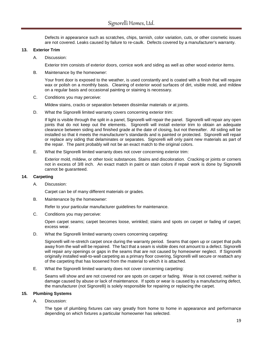Defects in appearance such as scratches, chips, tarnish, color variation, cuts, or other cosmetic issues are not covered. Leaks caused by failure to re-caulk. Defects covered by a manufacturer's warranty.

# **13. Exterior Trim**

A. Discussion:

Exterior trim consists of exterior doors, cornice work and siding as well as other wood exterior items.

B. Maintenance by the homeowner:

Your front door is exposed to the weather, is used constantly and is coated with a finish that will require wax or polish on a monthly basis. Cleaning of exterior wood surfaces of dirt, visible mold, and mildew on a regular basis and occasional painting or staining is necessary.

C. Conditions you may perceive:

Mildew stains, cracks or separation between dissimilar materials or at joints.

D. What the Signorelli limited warranty covers concerning exterior trim:

If light is visible through the split in a panel, Signorelli will repair the panel. Signorelli will repair any open joints that do not keep out the elements. Signorelli will install exterior trim to obtain an adequate clearance between siding and finished grade at the date of closing, but not thereafter. All siding will be installed so that it meets the manufacturer's standards and is painted or protected. Signorelli will repair or replace any siding that delaminates or separates. Signorelli will only paint new materials as part of the repair. The paint probably will not be an exact match to the original colors.

E. What the Signorelli limited warranty does not cover concerning exterior trim:

Exterior mold, mildew, or other toxic substances. Stains and discoloration. Cracking or joints or corners not in excess of 3/8 inch. An exact match in paint or stain colors if repair work is done by Signorelli cannot be guaranteed.

# **14. Carpeting**

A. Discussion:

Carpet can be of many different materials or grades.

B. Maintenance by the homeowner:

Refer to your particular manufacturer guidelines for maintenance.

C. Conditions you may perceive:

Open carpet seams; carpet becomes loose, wrinkled; stains and spots on carpet or fading of carpet; excess wear.

D. What the Signorelli limited warranty covers concerning carpeting:

Signorelli will re-stretch carpet once during the warranty period. Seams that open up or carpet that pulls away from the wall will be repaired. The fact that a seam is visible does not amount to a defect. Signorelli will repair any openings or gaps in the seams that are not caused by homeowner neglect. If Signorelli originally installed wall-to-wall carpeting as a primary floor covering, Signorelli will secure or reattach any of the carpeting that has loosened from the material to which it is attached.

E. What the Signorelli limited warranty does not cover concerning carpeting:

Seams will show and are not covered nor are spots on carpet or fading. Wear is not covered; neither is damage caused by abuse or lack of maintenance. If spots or wear is caused by a manufacturing defect, the manufacturer (not Signorelli) is solely responsible for repairing or replacing the carpet.

# **15. Plumbing Systems**

A. Discussion:

The type of plumbing fixtures can vary greatly from home to home in appearance and performance depending on which fixtures a particular homeowner has selected.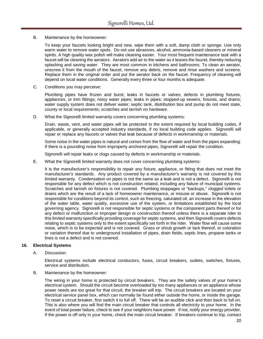B. Maintenance by the homeowner:

To keep your faucets looking bright and new, wipe them with a soft, damp cloth or sponge. Use only warm water to remove water spots. Do not use abrasives, alcohol, ammonia-based cleaners or mineral spirits. A high quality wax polish will make cleaning easier. Your most frequent maintenance task with a faucet will be cleaning the aerators. Aerators add air to the water as it leaves the faucet, thereby reducing splashing and saving water. They are most common in kitchens and bathrooms. To clean an aerator, unscrew it from the mouth of the faucet, remove any debris, remove and rinse washers and screens. Replace them in the original order and put the aerator back on the faucet. Frequency of cleaning will depend on local water conditions. Generally every three or four months is adequate.

C. Conditions you may perceive:

Plumbing pipes have frozen and burst; leaks in faucets or valves; defects in plumbing fixtures, appliances, or trim fittings; noisy water pipes; leaks in pipes; stopped-up sewers, fixtures, and drains; water supply system does not deliver water; septic tank, distribution box and pump do not meet state, county or local requirements; scratches and tarnish on hardware.

D. What the Signorelli limited warranty covers concerning plumbing systems:

Drain, waste, vent, and water pipes will be protected to the extent required by local building codes, if applicable, or generally accepted industry standards, if no local building code applies. Signorelli will repair or replace any faucets or valves that leak because of defects in workmanship or materials.

Some noise in the water pipes is natural and comes from the flow of water and from the pipes expanding. If there is a pounding noise from improperly anchored pipes, Signorelli will repair the condition.

Signorelli will repair leaks or clogs caused by defects in workmanship or materials.

E. What the Signorelli limited warranty does not cover concerning plumbing systems:

It is the manufacturer's responsibility to repair any fixture, appliance, or fitting that does not meet the manufacturer's standards. Any product covered by a manufacturer's warranty is not covered by this limited warranty. Condensation on pipes is not the same as a leak and is not a defect. Signorelli is not responsible for any defect which is not construction related, including any failure of municipal systems. Scratches and tarnish on fixtures is not covered. Plumbing stoppages or "backups," clogged toilets or drains which are the result of a lack of homeowner maintenance, or misuse or abuse. Signorelli is not responsible for conditions beyond its control, such as freezing, saturated oil, an increase in the elevation of the water table, water quality, excessive use of the system, or limitations established by the local governing agency. Signorelli is not responsible for septic systems or the component parts thereof or for any defect or malfunction or improper design or construction thereof unless there is a separate rider to this limited warranty specifically providing coverage for septic systems, and then Signorelli covers defects relating to septic systems only to the extent specifically set forth in the rider. Water flow will cause some noise, which is to be expected and is not covered. Grass or shrub growth or lack thereof, or coloration or variation thereof due to underground installation of pipes, drain fields, septic lines, propane tanks or lines is not a defect and is not covered.

#### **16. Electrical Systems**

A. Discussion:

Electrical systems include electrical conductors, fuses, circuit breakers, outlets, switches, fixtures, service and distribution.

B. Maintenance by the homeowner:

The wiring in your home is protected by circuit breakers. They are the safety valves of your home's electrical system. Should the circuit become overloaded by too many appliances or an appliance whose power needs are too great for that circuit, the breaker will trip. The circuit breakers are located on your electrical service panel box, which can normally be found either outside the home, or inside the garage. To reset a circuit breaker, first switch it to full off. There will be an audible click and then back to full on. This is also where you will find the main circuit breaker that controls all electricity to your home. In the event of total power failure, check to see if your neighbors have power. If not, notify your energy provider. If the power is off only in your home, check the main circuit breaker. If breakers continue to trip, contact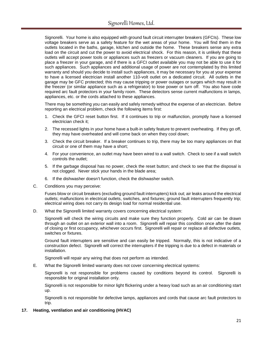Signorelli. Your home is also equipped with ground fault circuit interrupter breakers (GFCIs). These low voltage breakers serve as a safety feature for the wet areas of your home. You will find them in the outlets located in the baths, garage, kitchen and outside the home. These breakers sense any extra load on the circuit and cut the power to avoid electrical shock. For this reason, it is unlikely that these outlets will accept power tools or appliances such as freezers or vacuum cleaners. If you are going to place a freezer in your garage, and if there is a GFCI outlet available you may not be able to use it for such appliances. Such appliances and additional usage of power are not contemplated by this limited warranty and should you decide to install such appliances, it may be necessary for you at your expense to have a licensed electrician install another 110-volt outlet on a dedicated circuit. All outlets in the garage may be GFC protected; this may cause tripping or power outages or surges which may result in the freezer (or similar appliance such as a refrigerator) to lose power or turn off. You also have code required arc fault protectors in your family room. These detectors sense current malfunctions in lamps, appliances, etc. or the cords attached to these appliances.

There may be something you can easily and safely remedy without the expense of an electrician. Before reporting an electrical problem, check the following items first:

- 1. Check the GFCI reset button first. If it continues to trip or malfunction, promptly have a licensed electrician check it;
- 2. The recessed lights in your home have a built-in safety feature to prevent overheating. If they go off, they may have overheated and will come back on when they cool down;
- 3. Check the circuit breaker. If a breaker continues to trip, there may be too many appliances on that circuit or one of them may have a short;
- 4. For your convenience, an outlet may have been wired to a wall switch. Check to see if a wall switch controls the outlet;
- 5. If the garbage disposal has no power, check the reset button; and check to see that the disposal is not clogged. Never stick your hands in the blade area;
- 6. If the dishwasher doesn't function, check the dishwasher switch.
- C. Conditions you may perceive:

Fuses blow or circuit breakers (excluding ground fault interrupters) kick out; air leaks around the electrical outlets; malfunctions in electrical outlets, switches, and fixtures; ground fault interrupters frequently trip; electrical wiring does not carry its design load for normal residential use.

D. What the Signorelli limited warranty covers concerning electrical system:

Signorelli will check the wiring circuits and make sure they function properly. Cold air can be drawn through an outlet on an exterior wall into a room. Signorelli will repair this condition once after the date of closing or first occupancy, whichever occurs first. Signorelli will repair or replace all defective outlets, switches or fixtures.

Ground fault interrupters are sensitive and can easily be tripped. Normally, this is not indicative of a construction defect. Signorelli will correct the interrupters if the tripping is due to a defect in materials or installation.

Signorelli will repair any wiring that does not perform as intended.

E. What the Signorelli limited warranty does not cover concerning electrical systems:

Signorelli is not responsible for problems caused by conditions beyond its control. Signorelli is responsible for original installation only.

Signorelli is not responsible for minor light flickering under a heavy load such as an air conditioning start up.

Signorelli is not responsible for defective lamps, appliances and cords that cause arc fault protectors to trip.

# **17. Heating, ventilation and air conditioning (HVAC)**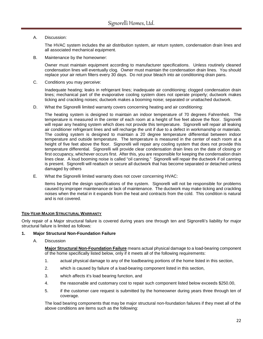A. Discussion:

The HVAC system includes the air distribution system, air return system, condensation drain lines and all associated mechanical equipment.

B. Maintenance by the homeowner:

Owner must maintain equipment according to manufacturer specifications. Unless routinely cleaned condensation lines will eventually clog. Owner must maintain the condensation drain lines. You should replace your air return filters every 30 days. Do not pour bleach into air conditioning drain pans.

C. Conditions you may perceive:

Inadequate heating; leaks in refrigerant lines; inadequate air conditioning; clogged condensation drain lines; mechanical part of the evaporative cooling system does not operate properly; ductwork makes ticking and crackling noises; ductwork makes a booming noise; separated or unattached ductwork.

D. What the Signorelli limited warranty covers concerning heating and air conditioning:

The heating system is designed to maintain an indoor temperature of 70 degrees Fahrenheit. The temperature is measured in the center of each room at a height of five feet above the floor. Signorelli will repair any heating system which does not provide this temperature. Signorelli will repair all leaking air conditioner refrigerant lines and will recharge the unit if due to a defect in workmanship or materials. The cooling system is designed to maintain a 20 degree temperature differential between indoor temperature and outside temperature. The temperature is measured in the center of each room at a height of five feet above the floor. Signorelli will repair any cooling system that does not provide this temperature differential. Signorelli will provide clear condensation drain lines on the date of closing or first occupancy, whichever occurs first. After this, you are responsible for keeping the condensation drain lines clear. A loud booming noise is called "oil canning." Signorelli will repair the ductwork if oil canning is present. Signorelli will reattach or secure all ductwork that has become separated or detached unless damaged by others

E. What the Signorelli limited warranty does not cover concerning HVAC:

Items beyond the design specifications of the system. Signorelli will not be responsible for problems caused by improper maintenance or lack of maintenance. The ductwork may make ticking and crackling noises when the metal in it expands from the heat and contracts from the cold. This condition is natural and is not covered.

# **TEN-YEAR MAJOR STRUCTURAL WARRANTY**

Only repair of a Major structural failure is covered during years one through ten and Signorelli's liability for major structural failure is limited as follows:

# **1. Major Structural Non-Foundation Failure**

A. Discussion

**Major Structural Non-Foundation Failure** means actual physical damage to a load-bearing component of the home specifically listed below, only if it meets all of the following requirements:

- 1. actual physical damage to any of the loadbearing portions of the home listed in this section,
- 2. which is caused by failure of a load-bearing component listed in this section,
- 3. which affects it's load bearing function, and
- 4. the reasonable and customary cost to repair such component listed below exceeds \$250.00,
- 5. if the customer care request is submitted by the homeowner during years three through ten of coverage.

The load bearing components that may be major structural non-foundation failures if they meet all of the above conditions are items such as the following: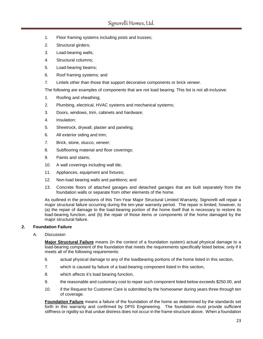- 1. Floor framing systems including joists and trusses;
- 2. Structural girders;
- 3. Load-bearing walls;
- 4. Structural columns;
- 5. Load-bearing beams;
- 6. Roof framing systems; and
- 7. Lintels other than those that support decorative components or brick veneer.

The following are examples of components that are not load bearing. This list is not all-inclusive:

- 1. Roofing and sheathing;
- 2. Plumbing, electrical, HVAC systems and mechanical systems;
- 3. Doors, windows, trim, cabinets and hardware;
- 4. Insulation;
- 5. Sheetrock, drywall, plaster and paneling;
- 6. All exterior siding and trim;
- 7. Brick, stone, stucco, veneer;
- 8. Subflooring material and floor coverings;
- 9. Paints and stains;
- 10. A wall coverings including wall tile;
- 11. Appliances, equipment and fixtures;
- 12. Non-load bearing walls and partitions; and
- 13. Concrete floors of attached garages and detached garages that are built separately from the foundation walls or separate from other elements of the home.

As outlined in the provisions of this Ten-Year Major Structural Limited Warranty, Signorelli will repair a major structural failure occurring during the ten-year warranty period. The repair is limited, however, to (a) the repair of damage to the load-bearing portion of the home itself that is necessary to restore its load-bearing function, and (b) the repair of those items or components of the home damaged by the major structural failure.

# **2. Foundation Failure**

# A. Discussion

**Major Structural Failure** means (in the context of a foundation system) actual physical damage to a load-bearing component of the foundation that meets the requirements specifically listed below, only if it meets all of the following requirements:

- 6. actual physical damage to any of the loadbearing portions of the home listed in this section,
- 7. which is caused by failure of a load-bearing component listed in this section,
- 8. which affects it's load bearing function,
- 9. the reasonable and customary cost to repair such component listed below exceeds \$250.00, and
- 10. if the Request for Customer Care is submitted by the homeowner during years three through ten of coverage.

**Foundation Failure** means a failure of the foundation of the home as determined by the standards set forth in this warranty and confirmed by DPIS Engineering. The foundation must provide sufficient stiffness or rigidity so that undue distress does not occur in the frame structure above. When a foundation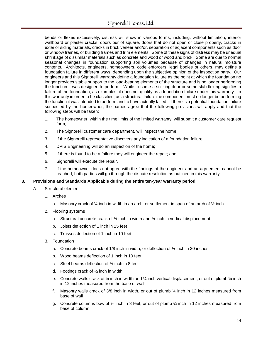bends or flexes excessively, distress will show in various forms, including, without limitation, interior wallboard or plaster cracks, doors our of square, doors that do not open or close properly, cracks in exterior siding materials, cracks in brick veneer and/or, separation of adjacent components such as door or window frames, or building frames and trim elements. Some of these signs of distress may be unequal shrinkage of dissimilar materials such as concrete and wood or wood and brick. Some are due to normal seasonal changes in foundation supporting soil volumes because of changes in natural moisture contents. Architects, engineers, homeowners, code enforcers, legal bodies or others, may define a foundation failure in different ways, depending upon the subjective opinion of the inspection party. Our engineers and this Signorelli warranty define a foundation failure as the point at which the foundation no longer provides stable support to the load-bearing elements of the structure and is no longer performing the function it was designed to perform. While to some a sticking door or some slab flexing signifies a failure of the foundation, as examples, it does not qualify as a foundation failure under this warranty. In this warranty in order to be classified, as a structural failure the component must no longer be performing the function it was intended to perform and to have actually failed. If there is a potential foundation failure suspected by the homeowner, the parties agree that the following provisions will apply and that the following steps will be taken:

- 1. The homeowner, within the time limits of the limited warranty, will submit a customer care request form;
- 2. The Signorelli customer care department, will inspect the home;
- 3. If the Signorelli representative discovers any indication of a foundation failure;
- 4. DPIS Engineering will do an inspection of the home;
- 5. If there is found to be a failure they will engineer the repair; and
- 6. Signorelli will execute the repair.
- 7. If the homeowner does not agree with the findings of the engineer and an agreement cannot be reached, both parties will go through the dispute resolution as outlined in this warranty.

# **3. Provisions and Standards Applicable during the entire ten-year warranty period**

- A. Structural element
	- 1. Arches
		- a. Masonry crack of  $\frac{1}{4}$  inch in width in an arch, or settlement in span of an arch of  $\frac{1}{2}$  inch
	- 2. Flooring systems
		- a. Structural concrete crack of  $\frac{1}{4}$  inch in width and  $\frac{1}{4}$  inch in vertical displacement
		- b. Joists deflection of 1 inch in 15 feet
		- c. Trusses deflection of 1 inch in 10 feet
	- 3. Foundation
		- a. Concrete beams crack of  $1/8$  inch in width, or deflection of  $\frac{1}{4}$  inch in 30 inches
		- b. Wood beams deflection of 1 inch in 10 feet
		- c. Steel beams deflection of  $\frac{1}{2}$  inch in 8 feet
		- d. Footings crack of  $\frac{1}{2}$  inch in width
		- e. Concrete walls crack of  $\frac{1}{4}$  inch in width and  $\frac{1}{4}$  inch vertical displacement, or out of plumb  $\frac{1}{4}$  inch in 12 inches measured from the base of wall
		- f. Masonry walls crack of 3/8 inch in width, or out of plumb ¼ inch in 12 inches measured from base of wall
		- g. Concrete columns bow of  $\frac{1}{2}$  inch in 8 feet, or out of plumb  $\frac{1}{2}$  inch in 12 inches measured from base of column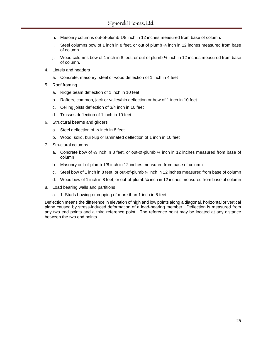- h. Masonry columns out-of-plumb 1/8 inch in 12 inches measured from base of column.
- i. Steel columns bow of 1 inch in 8 feet, or out of plumb  $\frac{1}{4}$  inch in 12 inches measured from base of column.
- j. Wood columns bow of 1 inch in 8 feet, or out of plumb  $\frac{1}{4}$  inch in 12 inches measured from base of column.
- 4. Lintels and headers
	- a. Concrete, masonry, steel or wood deflection of 1 inch in 4 feet
- 5. Roof framing
	- a. Ridge beam deflection of 1 inch in 10 feet
	- b. Rafters, common, jack or valley/hip deflection or bow of 1 inch in 10 feet
	- c. Ceiling joists deflection of 3/4 inch in 10 feet
	- d. Trusses deflection of 1 inch in 10 feet
- 6. Structural beams and girders
	- a. Steel deflection of ½ inch in 8 feet
	- b. Wood, solid, built-up or laminated deflection of 1 inch in 10 feet
- 7. Structural columns
	- a. Concrete bow of  $\frac{1}{2}$  inch in 8 feet, or out-of-plumb  $\frac{1}{2}$  inch in 12 inches measured from base of column
	- b. Masonry out-of-plumb 1/8 inch in 12 inches measured from base of column
	- c. Steel bow of 1 inch in 8 feet, or out-of-plumb ¼ inch in 12 inches measured from base of column
	- d. Wood bow of 1 inch in 8 feet, or out-of-plumb ¼ inch in 12 inches measured from base of column
- 8. Load bearing walls and partitions
	- a. 1. Studs bowing or cupping of more than 1 inch in 8 feet

Deflection means the difference in elevation of high and low points along a diagonal, horizontal or vertical plane caused by stress-induced deformation of a load-bearing member. Deflection is measured from any two end points and a third reference point. The reference point may be located at any distance between the two end points.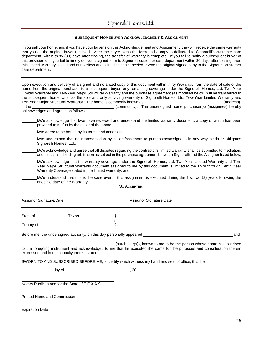#### **SUBSEQUENT HOMEBUYER ACKNOWLEDGMENT & ASSIGNMENT**

If you sell your home, and if you have your buyer sign this Acknowledgement and Assignment, they will receive the same warranty that you as the original buyer received. After the buyer signs the form and a copy is delivered to Signorelli's customer care department, within thirty (30) days after closing, the transfer of warranty is complete. If you fail to notify a subsequent buyer of this provision or if you fail to timely deliver a signed form to Signorelli customer care department within 30 days after closing, then this limited warranty is void and of no effect and is in all things canceled. Send the original signed copy to the Signorelli customer care department.

Upon execution and delivery of a signed and notarized copy of this document within thirty (30) days from the date of sale of the home from the original purchaser to a subsequent buyer, any remaining coverage under the Signorelli Homes, Ltd. Two-Year Limited Warranty and Ten-Year Major Structural Warranty and the purchase agreement (as modified below) will be transferred to the subsequent homeowner as the sole and only surviving warranty of Signorelli Homes, Ltd. Two-Year Limited Warranty and Ten-Year Major Structural Warranty. The home is commonly known as \_ (address) community). The undersigned home purchaser(s) (assignees) hereby acknowledges and agrees as follows: I/We acknowledge that I/we have reviewed and understand the limited warranty document, a copy of which has been provided to me/us by the seller of the home; I/we agree to be bound by its terms and conditions; I/we understand that no representation by sellers/assignors to purchasers/assignees in any way binds or obligates Signorelli Homes, Ltd.; I/We acknowledge and agree that all disputes regarding the contractor's limited warranty shall be submitted to mediation, and if that fails, binding arbitration as set out in the purchase agreement between Signorelli and the Assignor listed below; I/We acknowledge that the warranty coverage under the Signorelli Homes, Ltd. Two-Year Limited Warranty and Ten-Year Major Structural Warranty document assigned to me by this document is limited to the Third through Tenth Year Warranty Coverage stated in the limited warranty; and I/We understand that this is the case even if this assignment is executed during the first two (2) years following the effective date of the Warranty. **SO ACCEPTED:** Assignor Signature/Date **Assignor Signature/Date** Assignor Signature/Date State of **Texas** § County of **Exercise Security** of  $\blacksquare$ Before me, the undersigned authority, on this day personally appeared and (purchaser(s)), known to me to be the person whose name is subscribed to the foregoing instrument and acknowledged to me that he executed the same for the purposes and consideration therein expressed and in the capacity therein stated. SWORN TO AND SUBSCRIBED BEFORE ME, to certify which witness my hand and seal of office, this the  $day of$ ,  $20$ Notary Public in and for the State of T E X A S

Printed Name and Commission

Expiration Date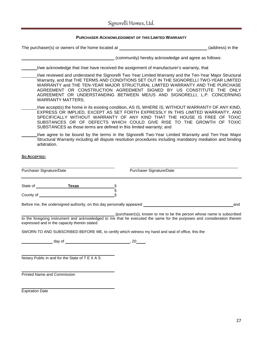# Signorelli Homes, Ltd.

| <b>PURCHASER ACKNOWLEDGMENT OF THIS LIMITED WARRANTY</b>                                                                                                                 |    |                                                                                                                                                                                                                                                                                                                                                                                                                                       |
|--------------------------------------------------------------------------------------------------------------------------------------------------------------------------|----|---------------------------------------------------------------------------------------------------------------------------------------------------------------------------------------------------------------------------------------------------------------------------------------------------------------------------------------------------------------------------------------------------------------------------------------|
|                                                                                                                                                                          |    |                                                                                                                                                                                                                                                                                                                                                                                                                                       |
|                                                                                                                                                                          |    | (community) hereby acknowledge and agree as follows:                                                                                                                                                                                                                                                                                                                                                                                  |
| I/we acknowledge that I/we have received the assignment of manufacturer's warranty, that                                                                                 |    |                                                                                                                                                                                                                                                                                                                                                                                                                                       |
| <b>WARRANTY MATTERS;</b>                                                                                                                                                 |    | I/we reviewed and understand the Signorelli Two Year Limited Warranty and the Ten-Year Major Structural<br>Warranty, and that THE TERMS AND CONDITIONS SET OUT IN THE SIGNORELLI TWO-YEAR LIMITED<br>WARRANTY and THE TEN-YEAR MAJOR STRUCTURAL LIMITED WARRANTY AND THE PURCHASE<br>AGREEMENT OR CONSTRUCTION AGREEMENT SIGNED BY US CONSTITUTE THE ONLY<br>AGREEMENT OR UNDERSTANDING BETWEEN ME/US AND SIGNORELLI, L.P. CONCERNING |
| SUBSTANCES as those terms are defined in this limited warranty; and                                                                                                      |    | I/we accept(s) the home in its existing condition, AS IS, WHERE IS, WITHOUT WARRANTY OF ANY KIND,<br>EXPRESS OR IMPLIED, EXCEPT AS SET FORTH EXPRESSLY IN THIS LIMITED WARRANTY, AND<br>SPECIFICALLY WITHOUT WARRANTY OF ANY KIND THAT THE HOUSE IS FREE OF TOXIC<br>SUBSTANCES OR OF DEFECTS WHICH COULD GIVE RISE TO THE GROWTH OF TOXIC                                                                                            |
| arbitration.                                                                                                                                                             |    | I/we agree to be bound by the terms in the Signorelli Two-Year Limited Warranty and Ten-Year Major<br>Structural Warranty including all dispute resolution procedures including mandatory mediation and binding                                                                                                                                                                                                                       |
| So ACCEPTED:                                                                                                                                                             |    |                                                                                                                                                                                                                                                                                                                                                                                                                                       |
|                                                                                                                                                                          |    |                                                                                                                                                                                                                                                                                                                                                                                                                                       |
| Purchaser Signature/Date                                                                                                                                                 |    | Purchaser Signature/Date                                                                                                                                                                                                                                                                                                                                                                                                              |
| State of Texas                                                                                                                                                           | .§ |                                                                                                                                                                                                                                                                                                                                                                                                                                       |
|                                                                                                                                                                          | §  |                                                                                                                                                                                                                                                                                                                                                                                                                                       |
| Before me, the undersigned authority, on this day personally appeared <b>example 20</b> and the understanding the set                                                    |    | and                                                                                                                                                                                                                                                                                                                                                                                                                                   |
| to the foregoing instrument and acknowledged to me that he executed the same for the purposes and consideration therein<br>expressed and in the capacity therein stated. |    | (purchaser(s)), known to me to be the person whose name is subscribed                                                                                                                                                                                                                                                                                                                                                                 |
| SWORN TO AND SUBSCRIBED BEFORE ME, to certify which witness my hand and seal of office, this the                                                                         |    |                                                                                                                                                                                                                                                                                                                                                                                                                                       |
|                                                                                                                                                                          |    |                                                                                                                                                                                                                                                                                                                                                                                                                                       |
| Notary Public in and for the State of T E X A S                                                                                                                          |    |                                                                                                                                                                                                                                                                                                                                                                                                                                       |
| Printed Name and Commission                                                                                                                                              |    |                                                                                                                                                                                                                                                                                                                                                                                                                                       |
| <b>Expiration Date</b>                                                                                                                                                   |    |                                                                                                                                                                                                                                                                                                                                                                                                                                       |